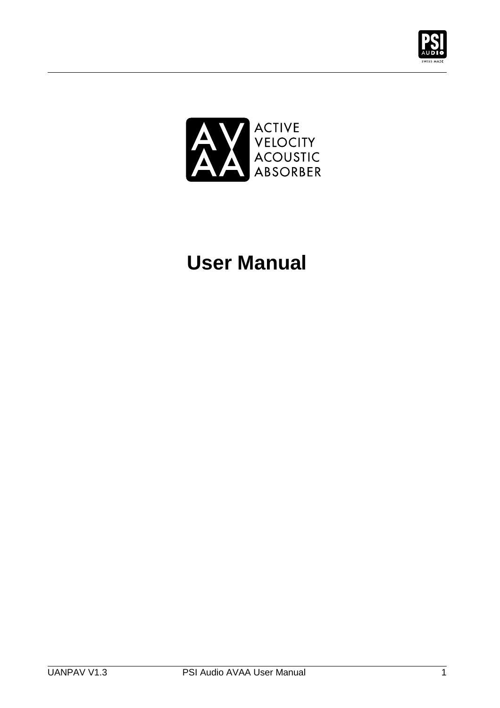



# **User Manual**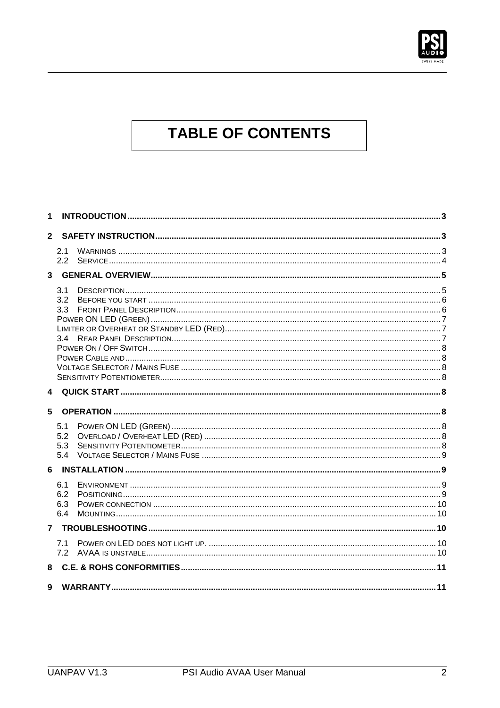

## **TABLE OF CONTENTS**

| 1            |                          |  |
|--------------|--------------------------|--|
| $\mathbf{2}$ |                          |  |
|              | 2.1<br>2.2               |  |
| 3            |                          |  |
|              | 3.1<br>3.2<br>3.3<br>34  |  |
| 4            |                          |  |
| 5            |                          |  |
|              | 5.1<br>5.2<br>5.3<br>5.4 |  |
| 6            |                          |  |
|              | 6.1<br>6.2<br>6.3<br>6.4 |  |
| 7            |                          |  |
|              | 7.1<br>7.2               |  |
| 8            |                          |  |
| 9            |                          |  |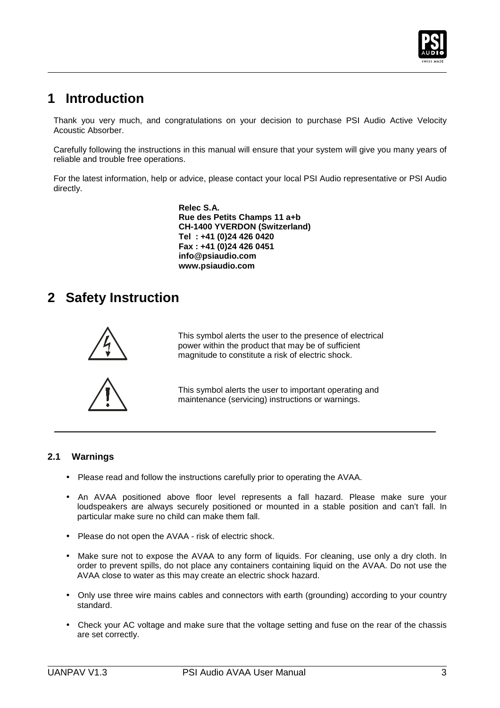

### **1 Introduction**

 $\overline{a}$ 

Thank you very much, and congratulations on your decision to purchase PSI Audio Active Velocity Acoustic Absorber.

Carefully following the instructions in this manual will ensure that your system will give you many years of reliable and trouble free operations.

For the latest information, help or advice, please contact your local PSI Audio representative or PSI Audio directly.

> **Relec S.A. Rue des Petits Champs 11 a+b CH-1400 YVERDON (Switzerland) Tel : +41 (0)24 426 0420 Fax : +41 (0)24 426 0451 info@psiaudio.com www.psiaudio.com**

### **2 Safety Instruction**



This symbol alerts the user to the presence of electrical power within the product that may be of sufficient magnitude to constitute a risk of electric shock.



This symbol alerts the user to important operating and maintenance (servicing) instructions or warnings.

### **2.1 Warnings**

- Please read and follow the instructions carefully prior to operating the AVAA.
- An AVAA positioned above floor level represents a fall hazard. Please make sure your loudspeakers are always securely positioned or mounted in a stable position and can't fall. In particular make sure no child can make them fall.
- Please do not open the AVAA risk of electric shock.
- Make sure not to expose the AVAA to any form of liquids. For cleaning, use only a dry cloth. In order to prevent spills, do not place any containers containing liquid on the AVAA. Do not use the AVAA close to water as this may create an electric shock hazard.
- Only use three wire mains cables and connectors with earth (grounding) according to your country standard.
- Check your AC voltage and make sure that the voltage setting and fuse on the rear of the chassis are set correctly.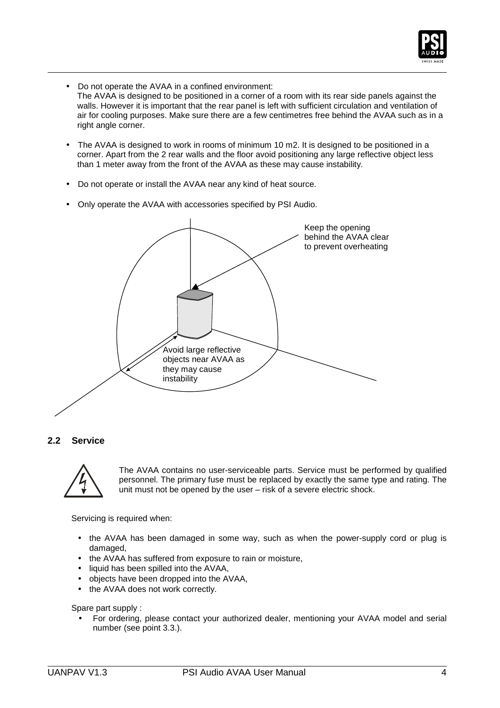

- Do not operate the AVAA in a confined environment: The AVAA is designed to be positioned in a corner of a room with its rear side panels against the walls. However it is important that the rear panel is left with sufficient circulation and ventilation of air for cooling purposes. Make sure there are a few centimetres free behind the AVAA such as in a right angle corner.
- The AVAA is designed to work in rooms of minimum 10 m2. It is designed to be positioned in a corner. Apart from the 2 rear walls and the floor avoid positioning any large reflective object less than 1 meter away from the front of the AVAA as these may cause instability.
- Do not operate or install the AVAA near any kind of heat source.
- Only operate the AVAA with accessories specified by PSI Audio.



### **2.2 Service**

 $\overline{a}$ 



The AVAA contains no user-serviceable parts. Service must be performed by qualified personnel. The primary fuse must be replaced by exactly the same type and rating. The unit must not be opened by the user – risk of a severe electric shock.

Servicing is required when:

- the AVAA has been damaged in some way, such as when the power-supply cord or plug is damaged,
- the AVAA has suffered from exposure to rain or moisture,
- liquid has been spilled into the AVAA,
- objects have been dropped into the AVAA,
- the AVAA does not work correctly.

Spare part supply :

• For ordering, please contact your authorized dealer, mentioning your AVAA model and serial number (see point 3.3.).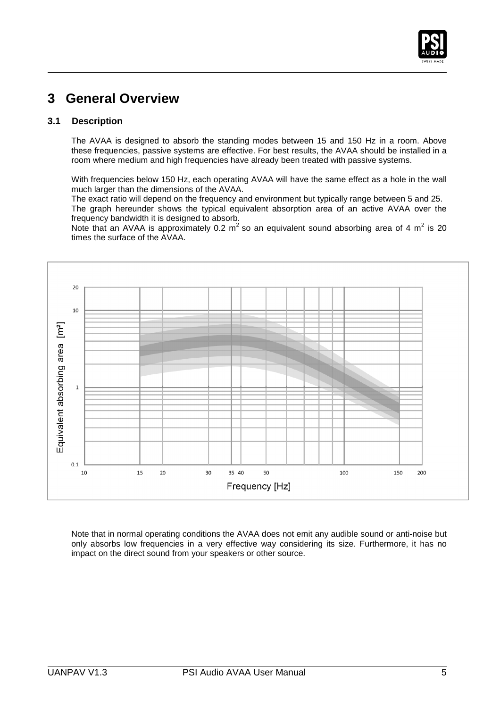

### **3 General Overview**

### **3.1 Description**

 $\overline{a}$ 

The AVAA is designed to absorb the standing modes between 15 and 150 Hz in a room. Above these frequencies, passive systems are effective. For best results, the AVAA should be installed in a room where medium and high frequencies have already been treated with passive systems.

With frequencies below 150 Hz, each operating AVAA will have the same effect as a hole in the wall much larger than the dimensions of the AVAA.

The exact ratio will depend on the frequency and environment but typically range between 5 and 25. The graph hereunder shows the typical equivalent absorption area of an active AVAA over the frequency bandwidth it is designed to absorb.

Note that an AVAA is approximately 0.2 m<sup>2</sup> so an equivalent sound absorbing area of 4 m<sup>2</sup> is 20 times the surface of the AVAA.



Note that in normal operating conditions the AVAA does not emit any audible sound or anti-noise but only absorbs low frequencies in a very effective way considering its size. Furthermore, it has no impact on the direct sound from your speakers or other source.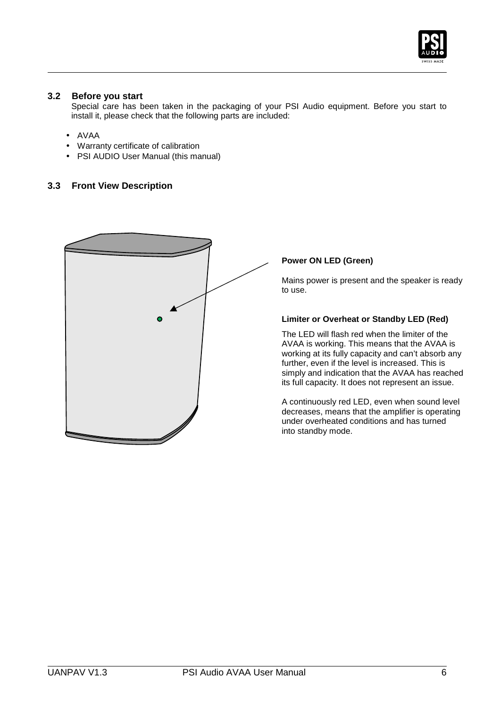

### **3.2 Before you start**

Special care has been taken in the packaging of your PSI Audio equipment. Before you start to install it, please check that the following parts are included:

• AVAA

 $\overline{a}$ 

- Warranty certificate of calibration
- PSI AUDIO User Manual (this manual)

### **3.3 Front View Description**



### **Power ON LED (Green)**

Mains power is present and the speaker is ready to use.

#### **Limiter or Overheat or Standby LED (Red)**

The LED will flash red when the limiter of the AVAA is working. This means that the AVAA is working at its fully capacity and can't absorb any further, even if the level is increased. This is simply and indication that the AVAA has reached its full capacity. It does not represent an issue.

A continuously red LED, even when sound level decreases, means that the amplifier is operating under overheated conditions and has turned into standby mode.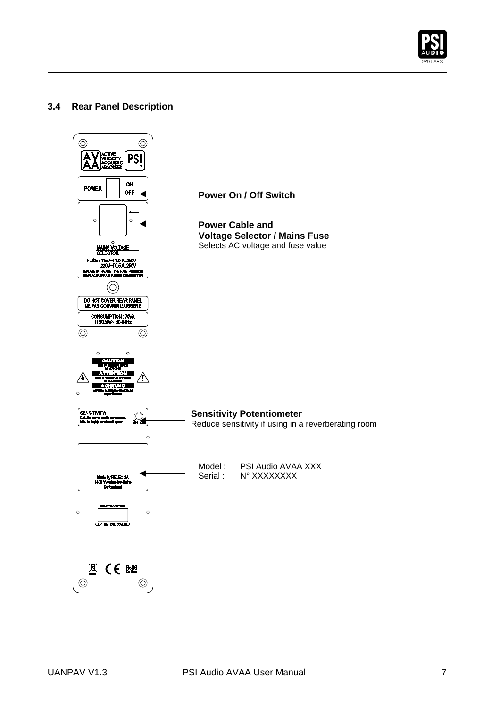

### **3.4 Rear Panel Description**

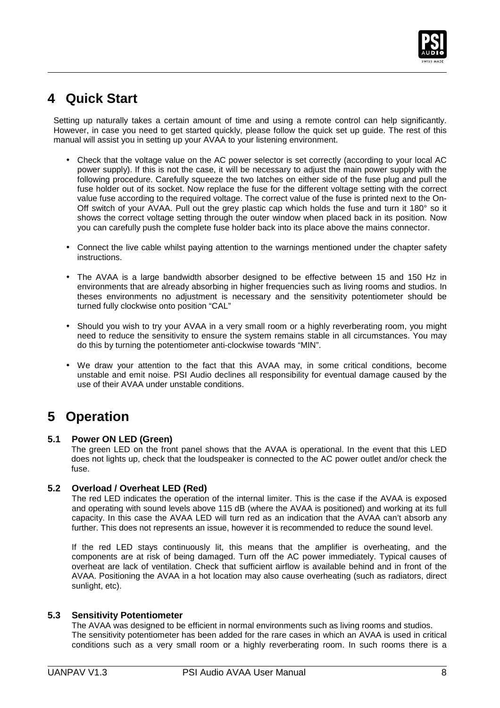

### **4 Quick Start**

 $\overline{a}$ 

Setting up naturally takes a certain amount of time and using a remote control can help significantly. However, in case you need to get started quickly, please follow the quick set up guide. The rest of this manual will assist you in setting up your AVAA to your listening environment.

- Check that the voltage value on the AC power selector is set correctly (according to your local AC power supply). If this is not the case, it will be necessary to adjust the main power supply with the following procedure. Carefully squeeze the two latches on either side of the fuse plug and pull the fuse holder out of its socket. Now replace the fuse for the different voltage setting with the correct value fuse according to the required voltage. The correct value of the fuse is printed next to the On-Off switch of your AVAA. Pull out the grey plastic cap which holds the fuse and turn it 180° so it shows the correct voltage setting through the outer window when placed back in its position. Now you can carefully push the complete fuse holder back into its place above the mains connector.
- Connect the live cable whilst paying attention to the warnings mentioned under the chapter safety instructions.
- The AVAA is a large bandwidth absorber designed to be effective between 15 and 150 Hz in environments that are already absorbing in higher frequencies such as living rooms and studios. In theses environments no adjustment is necessary and the sensitivity potentiometer should be turned fully clockwise onto position "CAL"
- Should you wish to try your AVAA in a very small room or a highly reverberating room, you might need to reduce the sensitivity to ensure the system remains stable in all circumstances. You may do this by turning the potentiometer anti-clockwise towards "MIN".
- We draw your attention to the fact that this AVAA may, in some critical conditions, become unstable and emit noise. PSI Audio declines all responsibility for eventual damage caused by the use of their AVAA under unstable conditions.

### **5 Operation**

### **5.1 Power ON LED (Green)**

The green LED on the front panel shows that the AVAA is operational. In the event that this LED does not lights up, check that the loudspeaker is connected to the AC power outlet and/or check the fuse.

#### **5.2 Overload / Overheat LED (Red)**

The red LED indicates the operation of the internal limiter. This is the case if the AVAA is exposed and operating with sound levels above 115 dB (where the AVAA is positioned) and working at its full capacity. In this case the AVAA LED will turn red as an indication that the AVAA can't absorb any further. This does not represents an issue, however it is recommended to reduce the sound level.

If the red LED stays continuously lit, this means that the amplifier is overheating, and the components are at risk of being damaged. Turn off the AC power immediately. Typical causes of overheat are lack of ventilation. Check that sufficient airflow is available behind and in front of the AVAA. Positioning the AVAA in a hot location may also cause overheating (such as radiators, direct sunlight, etc).

#### **5.3 Sensitivity Potentiometer**

The AVAA was designed to be efficient in normal environments such as living rooms and studios. The sensitivity potentiometer has been added for the rare cases in which an AVAA is used in critical conditions such as a very small room or a highly reverberating room. In such rooms there is a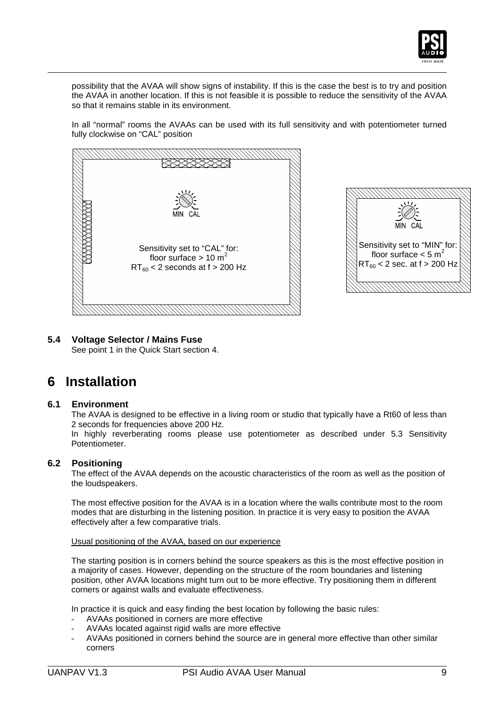

possibility that the AVAA will show signs of instability. If this is the case the best is to try and position the AVAA in another location. If this is not feasible it is possible to reduce the sensitivity of the AVAA so that it remains stable in its environment.

In all "normal" rooms the AVAAs can be used with its full sensitivity and with potentiometer turned fully clockwise on "CAL" position





### **5.4 Voltage Selector / Mains Fuse**

See point 1 in the Quick Start section 4.

### **6 Installation**

 $\overline{a}$ 

### **6.1 Environment**

The AVAA is designed to be effective in a living room or studio that typically have a Rt60 of less than 2 seconds for frequencies above 200 Hz.

In highly reverberating rooms please use potentiometer as described under 5.3 Sensitivity Potentiometer.

### **6.2 Positioning**

The effect of the AVAA depends on the acoustic characteristics of the room as well as the position of the loudspeakers.

The most effective position for the AVAA is in a location where the walls contribute most to the room modes that are disturbing in the listening position. In practice it is very easy to position the AVAA effectively after a few comparative trials.

#### Usual positioning of the AVAA, based on our experience

The starting position is in corners behind the source speakers as this is the most effective position in a majority of cases. However, depending on the structure of the room boundaries and listening position, other AVAA locations might turn out to be more effective. Try positioning them in different corners or against walls and evaluate effectiveness.

In practice it is quick and easy finding the best location by following the basic rules:

- AVAAs positioned in corners are more effective
- AVAAs located against rigid walls are more effective
- AVAAs positioned in corners behind the source are in general more effective than other similar corners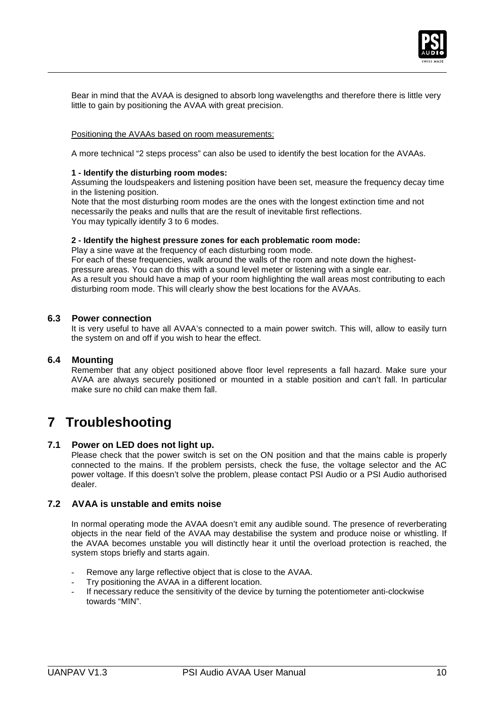

Bear in mind that the AVAA is designed to absorb long wavelengths and therefore there is little very little to gain by positioning the AVAA with great precision.

#### Positioning the AVAAs based on room measurements:

A more technical "2 steps process" can also be used to identify the best location for the AVAAs.

#### **1 - Identify the disturbing room modes:**

Assuming the loudspeakers and listening position have been set, measure the frequency decay time in the listening position.

Note that the most disturbing room modes are the ones with the longest extinction time and not necessarily the peaks and nulls that are the result of inevitable first reflections. You may typically identify 3 to 6 modes.

#### **2 - Identify the highest pressure zones for each problematic room mode:**

Play a sine wave at the frequency of each disturbing room mode. For each of these frequencies, walk around the walls of the room and note down the highestpressure areas. You can do this with a sound level meter or listening with a single ear. As a result you should have a map of your room highlighting the wall areas most contributing to each disturbing room mode. This will clearly show the best locations for the AVAAs.

### **6.3 Power connection**

It is very useful to have all AVAA's connected to a main power switch. This will, allow to easily turn the system on and off if you wish to hear the effect.

#### **6.4 Mounting**

 $\overline{a}$ 

Remember that any object positioned above floor level represents a fall hazard. Make sure your AVAA are always securely positioned or mounted in a stable position and can't fall. In particular make sure no child can make them fall.

### **7 Troubleshooting**

#### **7.1 Power on LED does not light up.**

Please check that the power switch is set on the ON position and that the mains cable is properly connected to the mains. If the problem persists, check the fuse, the voltage selector and the AC power voltage. If this doesn't solve the problem, please contact PSI Audio or a PSI Audio authorised dealer.

### **7.2 AVAA is unstable and emits noise**

In normal operating mode the AVAA doesn't emit any audible sound. The presence of reverberating objects in the near field of the AVAA may destabilise the system and produce noise or whistling. If the AVAA becomes unstable you will distinctly hear it until the overload protection is reached, the system stops briefly and starts again.

- Remove any large reflective object that is close to the AVAA.
- Try positioning the AVAA in a different location.
- If necessary reduce the sensitivity of the device by turning the potentiometer anti-clockwise towards "MIN".